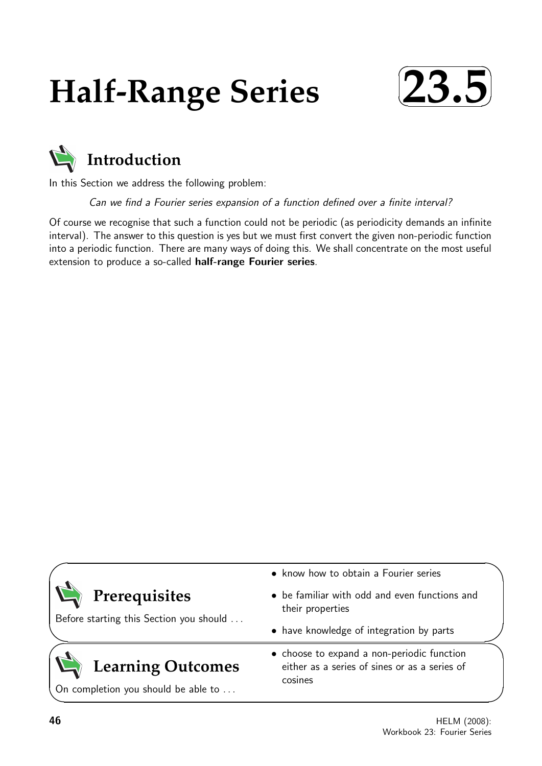# **Half-Range Series**





In this Section we address the following problem:

Can we find a Fourier series expansion of a function defined over a finite interval?

Of course we recognise that such a function could not be periodic (as periodicity demands an infinite interval). The answer to this question is yes but we must first convert the given non-periodic function into a periodic function. There are many ways of doing this. We shall concentrate on the most useful extension to produce a so-called half-range Fourier series.

| • know how to obtain a Fourier series                                                                  |
|--------------------------------------------------------------------------------------------------------|
| • be familiar with odd and even functions and<br>their properties                                      |
| • have knowledge of integration by parts                                                               |
| • choose to expand a non-periodic function<br>either as a series of sines or as a series of<br>cosines |
|                                                                                                        |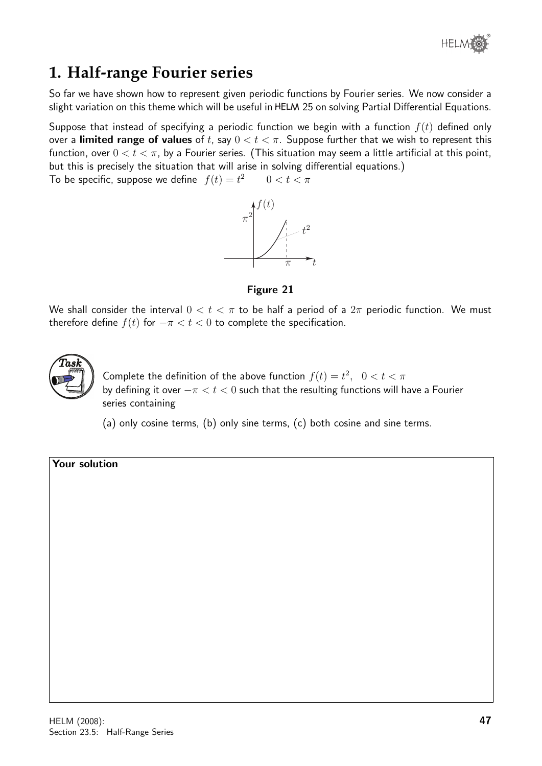

## **1. Half-range Fourier series**

So far we have shown how to represent given periodic functions by Fourier series. We now consider a slight variation on this theme which will be useful in HELM 25 on solving Partial Differential Equations.

Suppose that instead of specifying a periodic function we begin with a function  $f(t)$  defined only over a limited range of values of t, say  $0 < t < \pi$ . Suppose further that we wish to represent this function, over  $0 < t < \pi$ , by a Fourier series. (This situation may seem a little artificial at this point, but this is precisely the situation that will arise in solving differential equations.)

To be specific, suppose we define  $f(t) = t^2$  $0 < t < \pi$ 



Figure 21

We shall consider the interval  $0 < t < \pi$  to be half a period of a  $2\pi$  periodic function. We must therefore define  $f(t)$  for  $-\pi < t < 0$  to complete the specification.



Complete the definition of the above function  $f(t) = t^2$ ,  $0 < t < \pi$ by defining it over  $-\pi < t < 0$  such that the resulting functions will have a Fourier series containing

(a) only cosine terms, (b) only sine terms, (c) both cosine and sine terms.

Your solution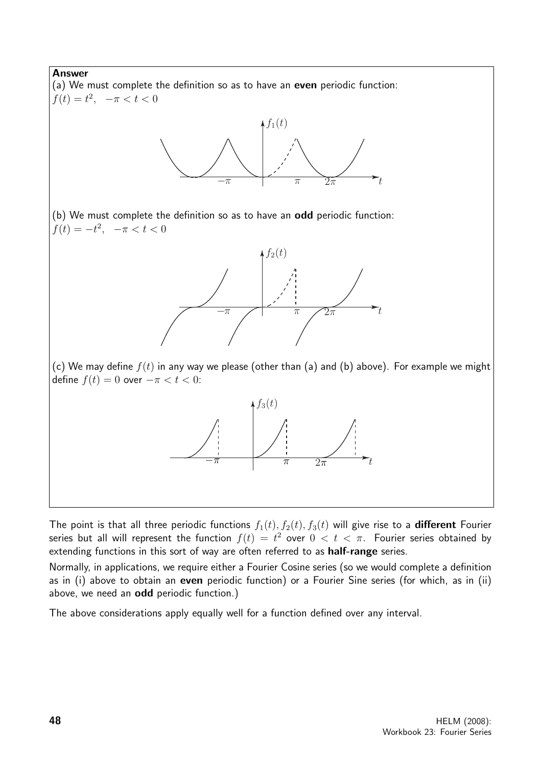

The point is that all three periodic functions  $f_1(t)$ ,  $f_2(t)$ ,  $f_3(t)$  will give rise to a **different** Fourier series but all will represent the function  $f(t) \, = \, t^2$  over  $0 \, < \, t \, < \, \pi.$  Fourier series obtained by extending functions in this sort of way are often referred to as **half-range** series.

Normally, in applications, we require either a Fourier Cosine series (so we would complete a definition as in (i) above to obtain an even periodic function) or a Fourier Sine series (for which, as in (ii) above, we need an odd periodic function.)

The above considerations apply equally well for a function defined over any interval.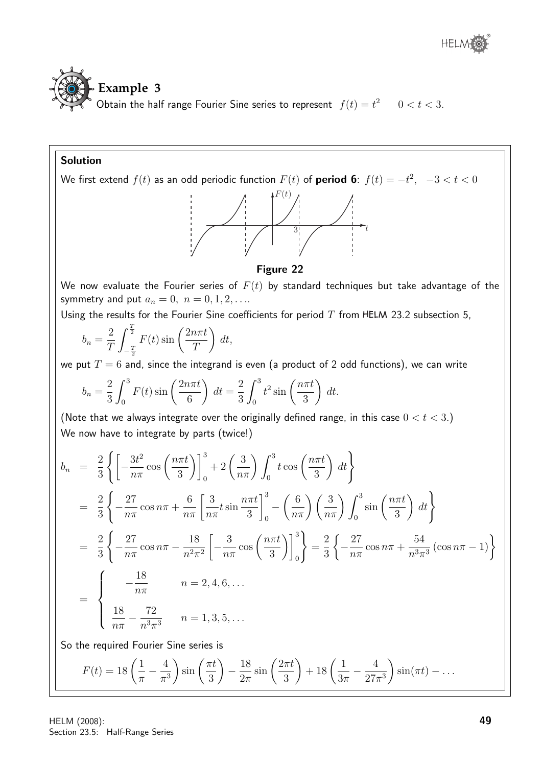



### Solution

We first extend  $f(t)$  as an odd periodic function  $F(t)$  of  $\bold{period}\,\, \bold{6};\,\, f(t)=-t^2,\,\,\,\, -3 < t < 0$ 



#### Figure 22

We now evaluate the Fourier series of  $F(t)$  by standard techniques but take advantage of the symmetry and put  $a_n = 0, n = 0, 1, 2, \ldots$ 

Using the results for the Fourier Sine coefficients for period  $T$  from HELM 23.2 subsection 5,

$$
b_n = \frac{2}{T} \int_{-\frac{T}{2}}^{\frac{T}{2}} F(t) \sin\left(\frac{2n\pi t}{T}\right) dt,
$$

we put  $T = 6$  and, since the integrand is even (a product of 2 odd functions), we can write

$$
b_n = \frac{2}{3} \int_0^3 F(t) \sin\left(\frac{2n\pi t}{6}\right) dt = \frac{2}{3} \int_0^3 t^2 \sin\left(\frac{n\pi t}{3}\right) dt.
$$

(Note that we always integrate over the originally defined range, in this case  $0 < t < 3$ .) We now have to integrate by parts (twice!)

$$
b_n = \frac{2}{3} \left\{ \left[ -\frac{3t^2}{n\pi} \cos\left(\frac{n\pi t}{3}\right) \right]_0^3 + 2\left(\frac{3}{n\pi}\right) \int_0^3 t \cos\left(\frac{n\pi t}{3}\right) dt \right\}
$$
  
\n
$$
= \frac{2}{3} \left\{ -\frac{27}{n\pi} \cos n\pi + \frac{6}{n\pi} \left[ \frac{3}{n\pi} t \sin\frac{n\pi t}{3} \right]_0^3 - \left(\frac{6}{n\pi}\right) \left(\frac{3}{n\pi}\right) \int_0^3 \sin\left(\frac{n\pi t}{3}\right) dt \right\}
$$
  
\n
$$
= \frac{2}{3} \left\{ -\frac{27}{n\pi} \cos n\pi - \frac{18}{n^2\pi^2} \left[ -\frac{3}{n\pi} \cos\left(\frac{n\pi t}{3}\right) \right]_0^3 \right\} = \frac{2}{3} \left\{ -\frac{27}{n\pi} \cos n\pi + \frac{54}{n^3\pi^3} (\cos n\pi - 1) \right\}
$$
  
\n
$$
= \left\{ \begin{array}{ll} -\frac{18}{n\pi} & n = 2, 4, 6, \dots \\ \frac{18}{n\pi} - \frac{72}{n^3\pi^3} & n = 1, 3, 5, \dots \end{array} \right.
$$
  
\nSo the required Fourier Sine series is  
\n
$$
F(t) = 18 \left( \frac{1}{\pi} - \frac{4}{\pi^3} \right) \sin\left(\frac{\pi t}{3}\right) - \frac{18}{2\pi} \sin\left(\frac{2\pi t}{3}\right) + 18 \left( \frac{1}{3\pi} - \frac{4}{27\pi^3} \right) \sin(\pi t) - \dots \right.
$$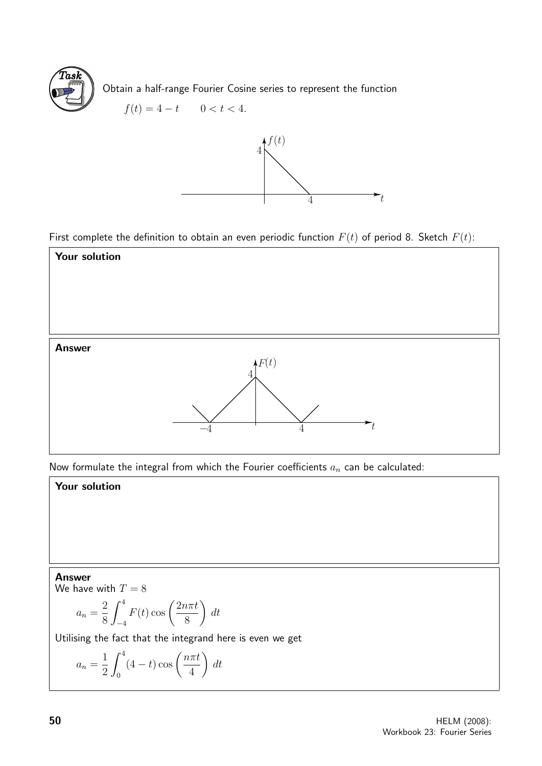

Obtain a half-range Fourier Cosine series to represent the function

$$
f(t) = 4 - t \qquad 0 < t < 4.
$$



First complete the definition to obtain an even periodic function  $F(t)$  of period 8. Sketch  $F(t)$ :



Now formulate the integral from which the Fourier coefficients  $a_n$  can be calculated:

### Your solution

#### Answer

We have with  $T = 8$ 

$$
a_n = \frac{2}{8} \int_{-4}^{4} F(t) \cos\left(\frac{2n\pi t}{8}\right) dt
$$

Utilising the fact that the integrand here is even we get

$$
a_n = \frac{1}{2} \int_0^4 (4-t) \cos\left(\frac{n\pi t}{4}\right) dt
$$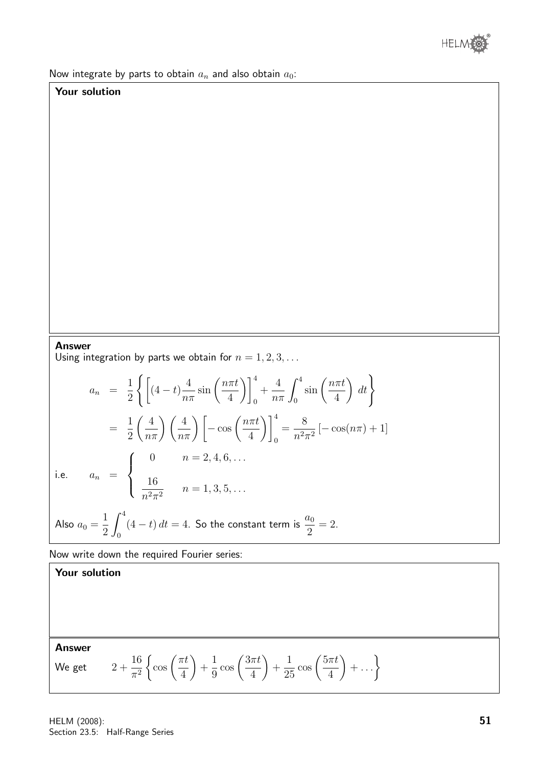

Now integrate by parts to obtain  $a_n$  and also obtain  $a_0$ :

### Your solution

#### Answer

Using integration by parts we obtain for  $n = 1, 2, 3, \ldots$ 

$$
a_n = \frac{1}{2} \left\{ \left[ (4-t) \frac{4}{n\pi} \sin\left(\frac{n\pi t}{4}\right) \right]_0^4 + \frac{4}{n\pi} \int_0^4 \sin\left(\frac{n\pi t}{4}\right) dt \right\}
$$
  
\n
$$
= \frac{1}{2} \left( \frac{4}{n\pi} \right) \left( \frac{4}{n\pi} \right) \left[ -\cos\left(\frac{n\pi t}{4}\right) \right]_0^4 = \frac{8}{n^2 \pi^2} \left[ -\cos(n\pi) + 1 \right]
$$
  
\ni.e.  $a_n = \begin{cases} 0 & n = 2, 4, 6, ... \\ \frac{16}{n^2 \pi^2} & n = 1, 3, 5, ... \end{cases}$   
\nAlso  $a_0 = \frac{1}{2} \int_0^4 (4-t) dt = 4$ . So the constant term is  $\frac{a_0}{2} = 2$ .

Now write down the required Fourier series:

Answer

Your solution

We get 
$$
2 + \frac{16}{\pi^2} \left\{ \cos\left(\frac{\pi t}{4}\right) + \frac{1}{9} \cos\left(\frac{3\pi t}{4}\right) + \frac{1}{25} \cos\left(\frac{5\pi t}{4}\right) + \dots \right\}
$$